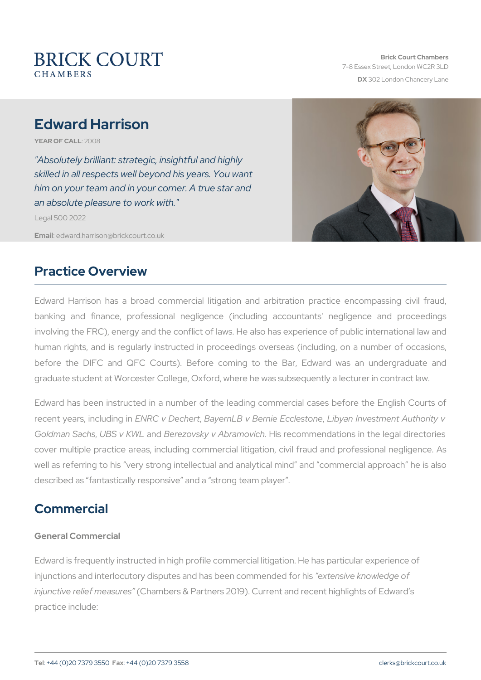# Edward Harrison

YEAR OF CA2LOL08

"Absolutely brilliant: strategic, insightful and highly skilled in all respects well beyond his years. You want him on your team and in your corner. A true star and an absolute pleasure to work with."

Legal 500 2022

Emaiddward.harrison@brickcourt.co.uk

### Practice Overview

Edward Harrison has a broad commercial litigation and arbitratio banking and finance, professional negligence (including accoun involving the FRC), energy and the conflict of laws. He also has expe human rights, and is regularly instructed in proceedings overseas ( before the DIFC and QFC Courts). Before coming to the Bar, E graduate student at Worcester College, Oxford, where he was subsequently

Edward has been instructed in a number of the leading commercial recent years, in ENURIC not Dhe Esbert , Dechnie, Gernie, LEids was a the westment Authority and Indian Indian Goldman SLABS sv KaW (Berezovsky v Abrahim soviec dommendations in the leg cover multiple practice areas, including commercial litigation, civil well as referring to his very strong intellectual and analytical mind described as fantastically responsive and a strong team player .

# Commercial

General Commercial

Edward is frequently instructed in high profile commercial litigation. H injunctions and interlocutory disputes and has xbees nive the mean beed confinition in the four his injunctive relief (nG heas mulcres & Partners 2019). Current and recent highl practice include: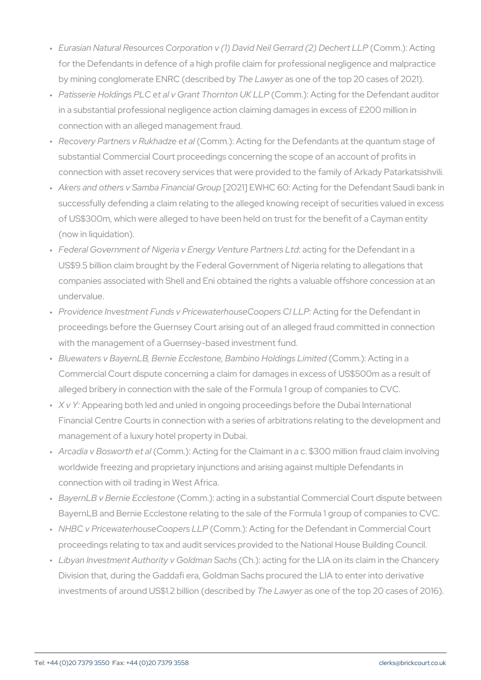- " Eurasian Natural Resources Corporation v (1) Da (Cdo Noinll) G Achtain**g** ( for the Defendants in defence of a high profile claim for professio by mining conglomerate ENR Chede a way shed eb pf the top 20 cases of 20
- " Patisserie Holdings PLC et al v G(600tm Tmh o) mAt**ot**n nugKfoLnLPhe Defendar in a substantial professional negligence action claiming damages i connection with an alleged management fraud.
- " Recovery Partners v R(uCkchmandiz)e: eAtcating for the Defendants at the qu substantial Commercial Court proceedings concerning the scope of connection with asset recovery services that were provided to the
- " Akers and others v Samba [E0n2a1n] cEaW HGC 06uOp: Acting for the Defendal successfully defending a claim relating to the alleged knowing rec of US\$300m, which were alleged to have been held on trust for the (now in liquidation).
- " Federal Government of Nigeria v EnergyaoYtei**n g**uf**e**rPtannet nDeerfsebuddant in US\$9.5 billion claim brought by the Federal Government of Nigeria companies associated with Shell and Eni obtained the rights a valuable undervalue.
- " Providence Investment Funds v PricewateAhlotoiunsgeCooropheersDGfeln.LdPant : proceedings before the Guernsey Court arising out of an alleged f with the management of a Guernsey-based investment fund.
- " Bluewaters v Bayern<code>LB</code>, Bernie Ecclestone,(@Soamm.ho.h).of AHootli**ol**ign\_gins alimi Commercial Court dispute concerning a claim for damages in excest alleged bribery in connection with the sale of the Formula 1 group
- " X v Appearing both led and unled in ongoing proceedings before th Financial Centre Courts in connection with a series of arbitrations management of a luxury hotel property in Dubai.
- " Arcadia v Bosw (oC tohm ent.) al Acting for the Claimant in a c. \$300 million worldwide freezing and proprietary injunctions and arising against connection with oil trading in West Africa.
- " Bayern<code>LB</code> v Bernie (ECcocchems.t) $\alpha$ næcting in a substantial Commercial Co BayernLB and Bernie Ecclestone relating to the sale of the Formul
- " NHBC v Pricewaterhouse(CC compner)s: LALC Pring for the Defendant in Comm proceedings relating to tax and audit services provided to the Nat
- " Libyan Investment Authority (vCGo)I:dencatrin§gafochrsthe LIA on its claim i Division that, during the Gaddafi era, Goldman Sachs procured the  $inv$ estments of around  $US$1.2$  bT $M$ eoha(valuges to nieb end the top 20 cases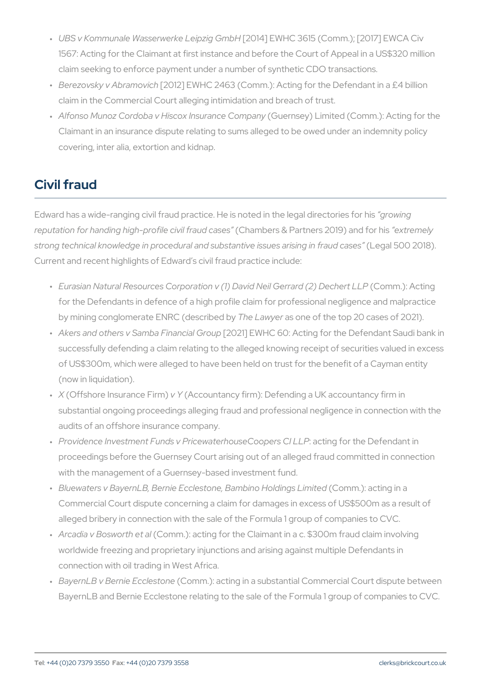- " UBS v Kommunale Wasserwer [K2011 **4**] p E M GhC 20611 5 (Comm.); [2017] E 1567: Acting for the Claimant at first instance and before the Court claim seeking to enforce payment under a number of synthetic CDO
- " Berezovsky v Ab[r2a0m1o2v]ioEhW H C 2463 (Comm.): Acting for the Defend claim in the Commercial Court alleging intimidation and breach of
- " Alfonso Munoz Cordoba v Hiscox (GSuneranseey) Cloimmpiaendy (Comm.): Acti Claimant in an insurance dispute relating to sums alleged to be ov covering, inter alia, extortion and kidnap.

# Civil fraud

Edward has a wide-ranging civil fraud practice. He is nontending the legal reputation for handing high-prof(iCehamin/biefsta&udPaatsnees rs 201e9x) træmde for hi strong technical knowledge in procedural and substantie igealists QuOe \$2 Oa1r89 i Current and recent highlights of Edward s civil fraud practice include:

- " Eurasian Natural Resources Corporation v (1) Da (Cdo Moinl) G Acntain**g** ( for the Defendants in defence of a high profile claim for professio by mining conglomerate ENRChed bases and the top 20 cases of 20
- " Akers and others v Samba [EDn2a1n] cEaW HGO o GuOp: Acting for the Defendal successfully defending a claim relating to the alleged knowing rec of US\$300m, which were alleged to have been held on trust for the (now in liquidation).
- " X (Offshore Insuranc (A Fe icromu) ntancy firm ): Defending a UK accountan substantial ongoing proceedings alleging fraud and professional n audits of an offshore insurance company.
- " Providence Investment Funds v Pricewatearb biunsge Cooro tpheers D @fle Lable at proceedings before the Guernsey Court arising out of an alleged f with the management of a Guernsey-based investment fund.
- " Bluewaters v Bayern<code>LB</code>, Bernie Ecclestone,(@Soammohai.n).b aHoldignigns aLimi Commercial Court dispute concerning a claim for damages in exces alleged bribery in connection with the sale of the Formula 1 group
- " Arcadia v Bosw (oCrbhm ent.)alacting for the Claimant in a c. \$300m frau worldwide freezing and proprietary injunctions and arising against connection with oil trading in West Africa.
- " Bayern L B v Bernie (ECcocchems.t) an acting in a substantial Commercial Co BayernLB and Bernie Ecclestone relating to the sale of the Formul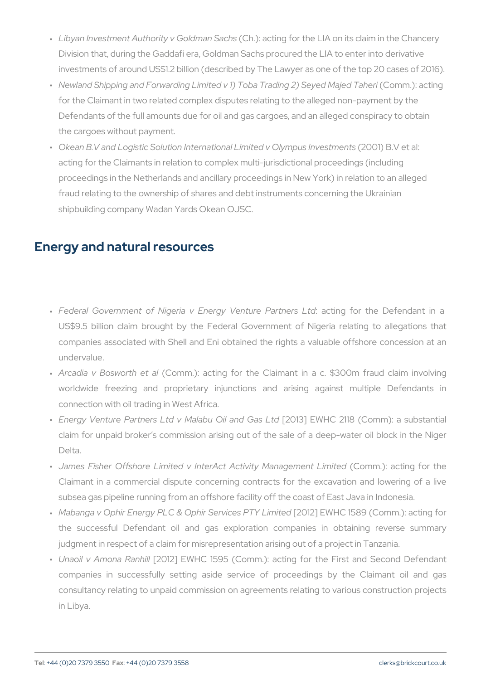- " Libyan Investment Authority (vCGo)I:dencatrin§gafochrsthe LIA on its claim i Division that, during the Gaddafi era, Goldman Sachs procured the investments of around US\$1.2 billion (described by The Lawyer as
- " Newland Shipping and Forwarding Limited v 1) Tob(aCTomandin)g 220tiShogy for the Claimant in two related complex disputes relating to the all Defendants of the full amounts due for oil and gas cargoes, and an the cargoes without payment.
- " Okean B.V and Logistic Solution International L(i2nOiOeod B. @ I et al:s I acting for the Claimants in relation to complex multi-jurisdictional proceedings in the Netherlands and ancillary proceedings in New Y fraud relating to the ownership of shares and debt instruments cor shipbuilding company Wadan Yards Okean OJSC.

#### Energy and natural resources

- " Federal Government of Nigeria v Energyac\Vrienngtu**fe**r PtahnetnDnesfe**b.t**dd US\$9.5 billion claim brought by the Federal Government of Ni companies associated with Shell and Eni obtained the rights a v undervalue.
- " Arcadia v Bosw (Octohm met): alacting for the Claimant in a c. \$300 m worldwide freezing and proprietary injunctions and arising connection with oil trading in West Africa.
- " Energy Venture Partners Ltd v Ma[l2a0b1u3]OiEEWahnd CS-1a1s8 L(tClomm): a claim for unpaid broker s commission arising out of the sale of Delta.
- "James Fisher Offshore Limited v InterAct A**¢Ciovmitny.)Maaatjiengefiotr** Claimant in a commercial dispute concerning contracts for the subsea gas pipeline running from an offshore facility off the coast
- " Mabanga v Ophir Energy PLC & Ophir[2SOe1r2v]icEeWo HPOTY15L819ni(tGodmm.): the successful Defendant oil and gas exploration companie judgment in respect of a claim for misrepresentation arising out of
- " Unaoil v Amon@20R1a2n]h日WHC 1595 (Comm.): acting for the First companies in successfully setting aside service of proceeding consultancy relating to unpaid commission on agreements relating in Libya.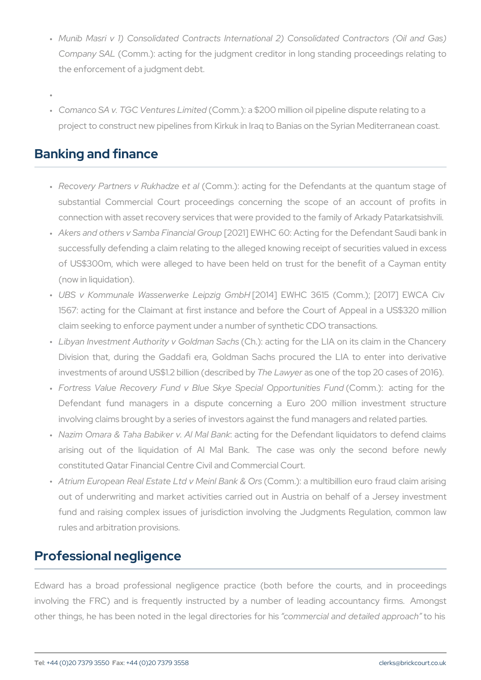- " Munib Masri v 1) Consolidated Contracts International 2) Cons Company (SCAOLmm.): acting for the judgment creditor in long stand the enforcement of a judgment debt.
- "
- " Comanco SA v. TGC Ven(tQuo**e**nsm L) mate\$c200 million oil pipeline disput project to construct new pipelines from Kirkuk in Iraq to Banias or

### Banking and finance

- " Recovery Partners v  $R(UCkchmaohz)e$ : eatctaing for the Defendants at the substantial Commercial Court proceedings concerning the sco connection with asset recovery services that were provided to the
- " Akers and others v Samba [E0n2a1n] cEaW HGQ o6uQp: Acting for the Defenda successfully defending a claim relating to the alleged knowing red of US\$300m, which were alleged to have been held on trust for (now in liquidation).
- " UBS v Kommunale Wasserwerk 2014 ip EiMg H G m 16 61 5 (Comm.); [201 1567: acting for the Claimant at first instance and before the C claim seeking to enforce payment under a number of synthetic CDO
- " Libyan Investment Authority (CGho)dmaaninSgaćbns the LIA on its claim Division that, during the Gaddafi era, Goldman Sachs procured investments of around US\$1.2 bTheoba(ware smornibe out the top 20 cases
- " Fortress Value Recovery Fund v Blue Skye(Sopenomia) Opptointgunfioli Defendant fund managers in a dispute concerning a Euro 2 involving claims brought by a series of investors against the fund
- " Nazim Omara & Taha Babike actin Agl fMd althBeanDke fendant liquidators arising out of the liquidation of Al Mal Bank. The case constituted Qatar Financial Centre Civil and Commercial Court.
- " Atrium European Real Estate Ltd(©oMhemin): Baamnkul&tibOirbion euro fraud out of underwriting and market activities carried out in Austria fund and raising complex issues of jurisdiction involving the Ju rules and arbitration provisions.

# Professional negligence

Edward has a broad professional negligence practice (both before involving the FRC) and is frequently instructed by a number of Idential other things, he has been noted in the cloengrande robinael channique of the dishasp product and the dishaspord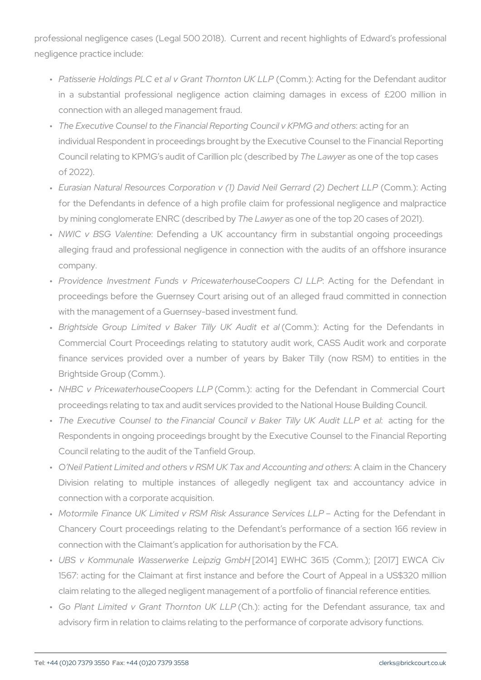professional negligence cases (Legal 500 2018). Current and recent negligence practice include:

- " Patisserie Holdings PLC et al v G(r63.ptm Thb.): rnAtoctrin LgKfoLrLPhe Defenda in a substantial professional negligence action claiming dama connection with an alleged management fraud.
- " The Executive Counsel to the Financial Reportin**g**  $c\mathfrak{C}$  **ionugn**  $\mathfrak{c}$  **o**llr van KPMG individual Respondent in proceedings brought by the Executive Co Council relating to KPMG s audit of CaTrhildibawal prodes of the ed thomp can of 2022).
- " Eurasian Natural Resources Corporation v (1) Dav(CdonNmeil):G&ctarro for the Defendants in defence of a high profile claim for profess by mining conglomerate ENRChed bacomais becche by the top 20 cases of
- " NWIQ BSG ValenDteinfiending a UK accountancy firm in substantia alleging fraud and professional negligence in connection with th company.
- " Providence Investment Funds v Pricewate Alboiunsge Cfoop oe Insteplation of the Defold in Action of the Defold in P proceedings before the Guernsey Court arising out of an alleged with the management of a Guernsey-based investment fund.
- " Brightside Group Limited v Bake(CoTmilhy.):UKA cAlundgit foert tahle Defe Commercial Court Proceedings relating to statutory audit work, finance services provided over a number of years by Baker T Brightside Group (Comm.).
- " NHBC v Pricewaterhouse(CCcoompmer)s: LaLcPring for the Defendant in C proceedings relating to tax and audit services provided to the Nat
- " The Executive Counsel to the Financial Council: v Batking Triolnly Respondents in ongoing proceedings brought by the Executive Co Council relating to the audit of the Tanfield Group.
- " O Neil Patient Limited and others v RSM UK TaxA acnladimAcionotuhmelinCghan Division relating to multiple instances of allegedly negliger connection with a corporate acquisition.
- " Motormile Finance UK Limited v RSM Risk **Ast**sion rganf**oe S**heervDoeef**s**nk Chancery Court proceedings relating to the Defendant s perform connection with the Claimant s application for authorisation by the
- " UBS v Kommunale Wasserwerk 2014 ip EiMg H G m 16 61 5 (Comm.); [201 1567: acting for the Claimant at first instance and before the C claim relating to the alleged negligent management of a portfolio
- " Go Plant Limited v Grant T(KCohr.n) to mac  $U$  Kg L LoPr the Defendant ass advisory firm in relation to claims relating to the performance of c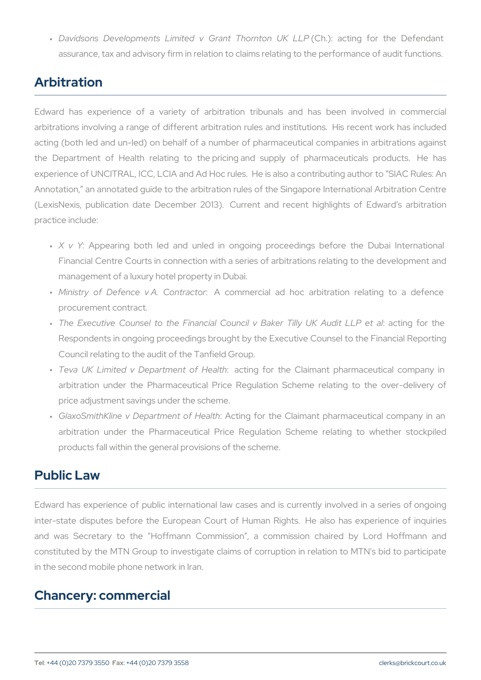" Davidsons Developments Limited v G( $\widehat{\mathfrak{a}}$ mit.): Thao crtning n folk the PD assurance, tax and advisory firm in relation to claims relating to t

### Arbitration

Edward has experience of a variety of arbitration tribunals an arbitrations involving a range of different arbitration rules and insti acting (both led and un-led) on behalf of a number of pharmaceutical the Department of Health relating to the pricing and supply of experience of UNCITRAL, ICC, LCIA and Ad Hoc rules. He is also a c Annotation, an annotated guide to the arbitration rules of the Singapore (LexisNexis, publication date December 2013). Current and recent practice include:

- " X v: YAppearing both led and unled in ongoing proceedings b Financial Centre Courts in connection with a series of arbitration management of a luxury hotel property in Dubai.
- " Ministry of Defence v.A.A Cocommimanetoral ad hoc arbitration relation procurement contract.
- " The Executive Counsel to the Financial Council : vaBbill en for the Monte Council et al : wa Respondents in ongoing proceedings brought by the Executive Co Council relating to the audit of the Tanfield Group.
- " Teva UK Limited v Depar:tm**enct**inogf flobraltthe Claimant pharmaceut arbitration under the Pharmaceutical Price Regulation Scheme price adjustment savings under the scheme.
- GlaxoSmithKline v Department of Health : Acting for the Claimant pharmaceutical company in an " arbitration under the Pharmaceutical Price Regulation Scheme products fall within the general provisions of the scheme.

### Public Law

Edward has experience of public international law cases and is cur inter-state disputes before the European Court of Human Rights. and was Secretary to the Hoffmann Commission, a commission constituted by the MTN Group to investigate claims of corruption in in the second mobile phone network in Iran.

#### Chancery: commercial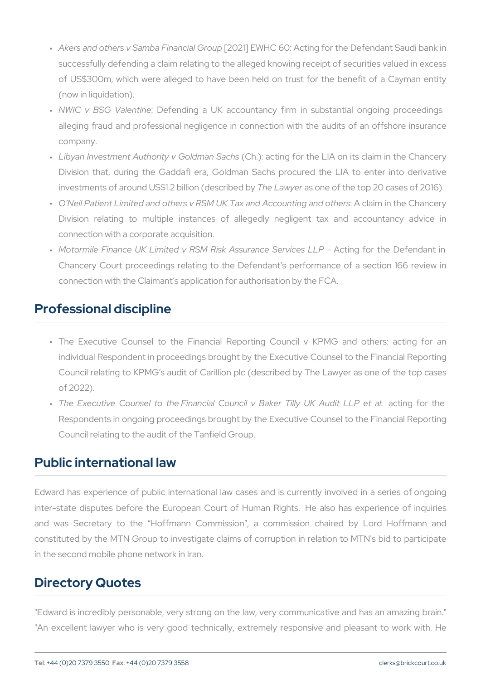- " Akers and others v Samba [E0n2a1n] cEaW HGQ o6uQp: Acting for the Defenda successfully defending a claim relating to the alleged knowing req of US\$300m, which were alleged to have been held on trust for (now in liquidation).
- " NWIQ BSG ValenDteinfiending a UK accountancy firm in substantia alleging fraud and professional negligence in connection with th company.
- " Libyan Investment Authority (vCGS.o)!:dencatrin§afochrsthe LIA on its claim Division that, during the Gaddafi era, Goldman Sachs procured investments of around  $US$1.2$  bTheoba (veloges noormibe only the top 20 cases
- " O Neil Patient Limited and others v RSM UK TaxA acnladimAcionotuhmelinCghan Division relating to multiple instances of allegedly negliger connection with a corporate acquisition.
- " Motormile Finance UK Limited v RSM RiskAeAtsi**ag**rafioncethSeenDveicferendant in the L Chancery Court proceedings relating to the Defendant s perform connection with the Claimant s application for authorisation by the

### Professional discipline

- " The Executive Counsel to the Financial Reporting Council v individual Respondent in proceedings brought by the Executive Co Council relating to KPMG s audit of Carillion plc (described by T of 2022).
- " The Executive Counsel to the Financial Council: v Batking Triolnly Respondents in ongoing proceedings brought by the Executive Co Council relating to the audit of the Tanfield Group.

#### Public international law

Edward has experience of public international law cases and is cur inter-state disputes before the European Court of Human Rights. and was Secretary to the Hoffmann Commission , a commissio constituted by the MTN Group to investigate claims of corruption in in the second mobile phone network in Iran.

### Directory Quotes

"Edward is incredibly personable, very strong on the law, very comm "An excellent lawyer who is very good technically, extremely respo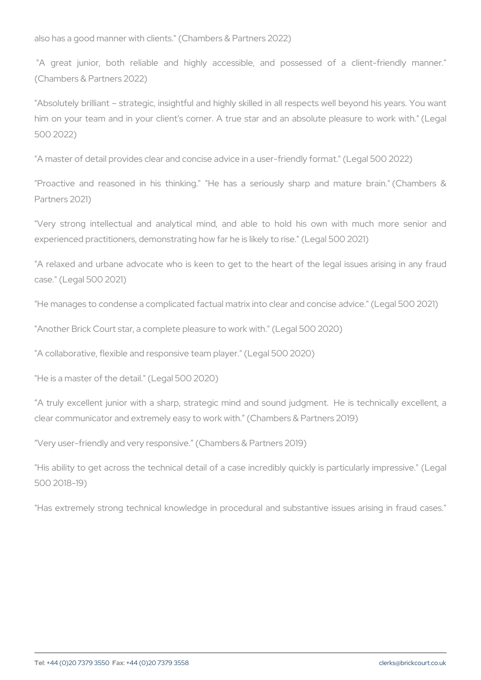also has a good manner with clients." (Chambers & Partners 2022)

"A great junior, both reliable and highly accessible, and po (Chambers & Partners 2022)

"Absolutely brilliant strategic, insightful and highly skilled in all r him on your team and in your client s corner. A true star and an a 500 2022)

"A master of detail provides clear and concise advice in a user-friend

"Proactive and reasoned in his thinking." "He has a seriously s Partners 2021)

"Very strong intellectual and analytical mind, and able to hold experienced practitioners, demonstrating how far he is likely to rise."

"A relaxed and urbane advocate who is keen to get to the heart of case." (Legal 500 2021)

"He manages to condense a complicated factual matrix into clear and "Another Brick Court star, a complete pleasure to work with." (Legal 5 "A collaborative, flexible and responsive team player." (Legal 500 202

"He is a master of the detail." (Legal 500 2020)

A truly excellent junior with a sharp, strategic mind and sound ju clear communicator and extremely easy to work with. (Chambers & Pa

Very user-friendly and very responsive. (Chambers & Partners 2019)

"His ability to get across the technical detail of a case incredibly q 500 2018-19)

"Has extremely strong technical knowledge in procedural and substa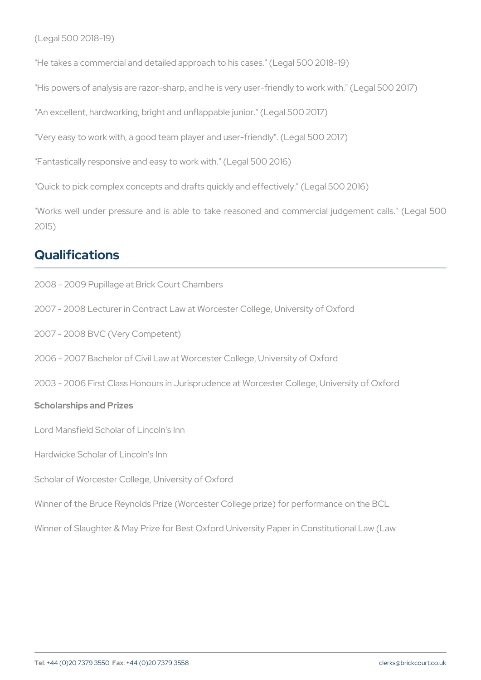(Legal 500 2018-19)

"He takes a commercial and detailed approach to his cases." (Legal 50 "His powers of analysis are razor-sharp, and he is very user-friendly t "An excellent, hardworking, bright and unflappable junior." (Legal 500 "Very easy to work with, a good team player and user-friendly". (Legal "Fantastically responsive and easy to work with." (Legal 500 2016) "Quick to pick complex concepts and drafts quickly and effectively." ( "Works well under pressure and is able to take reasoned and comr 2015)

### Qualifications

2008 - 2009 Pupillage at Brick Court Chambers 2007 - 2008 Lecturer in Contract Law at Worcester College, University 2007 - 2008 BVC (Very Competent) 2006 - 2007 Bachelor of Civil Law at Worcester College, University of 2003 - 2006 First Class Honours in Jurisprudence at Worcester Colleg Scholarships and Prizes Lord Mansfield Scholar of Lincoln's Inn Hardwicke Scholar of Lincoln's Inn Scholar of Worcester College, University of Oxford Winner of the Bruce Reynolds Prize (Worcester College prize) for perf Winner of Slaughter & May Prize for Best Oxford University Paper in C